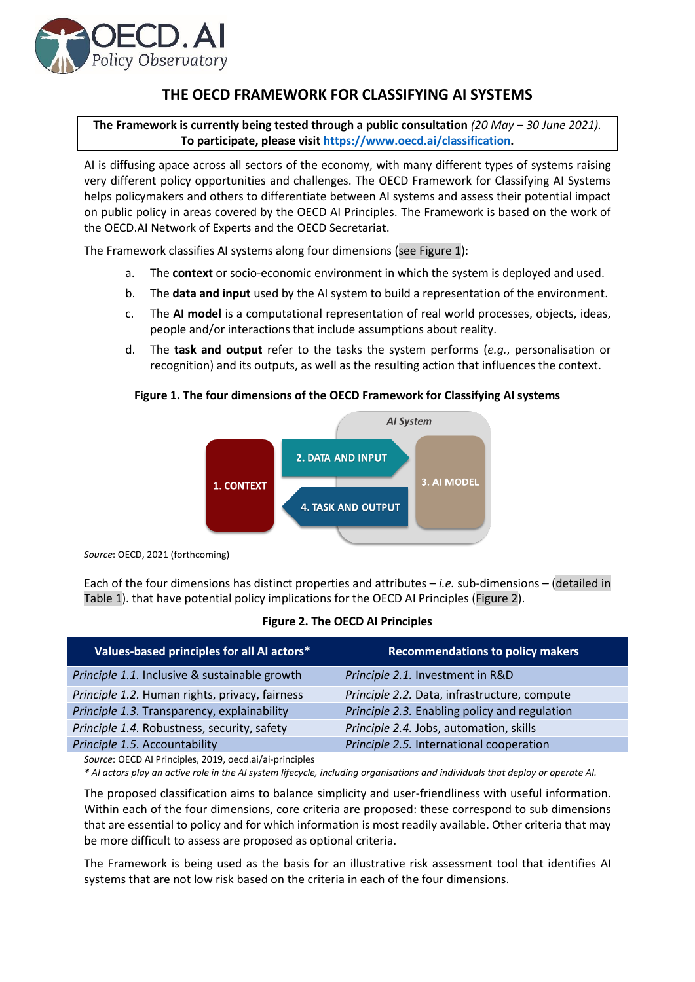

## **THE OECD FRAMEWORK FOR CLASSIFYING AI SYSTEMS**

**The Framework is currently being tested through a public consultation** *(20 May – 30 June 2021).* **To participate, please visit [https://www.oecd.ai/classification.](https://www.oecd.ai/classification)**

AI is diffusing apace across all sectors of the economy, with many different types of systems raising very different policy opportunities and challenges. The OECD Framework for Classifying AI Systems helps policymakers and others to differentiate between AI systems and assess their potential impact on public policy in areas covered by the OECD AI Principles. The Framework is based on the work of the OECD.AI Network of Experts and the OECD Secretariat.

The Framework classifies AI systems along four dimensions (see Figure 1):

- a. The **context** or socio-economic environment in which the system is deployed and used.
- b. The **data and input** used by the AI system to build a representation of the environment.
- c. The **AI model** is a computational representation of real world processes, objects, ideas, people and/or interactions that include assumptions about reality.
- d. The **task and output** refer to the tasks the system performs (*e.g.*, personalisation or recognition) and its outputs, as well as the resulting action that influences the context.

## **Figure 1. The four dimensions of the OECD Framework for Classifying AI systems**



*Source*: OECD, 2021 (forthcoming)

Each of the four dimensions has distinct properties and attributes – *i.e.* sub-dimensions – (detailed in Table 1). that have potential policy implications for the OECD AI Principles (Figure 2).

## **Figure 2. The OECD AI Principles**

| Values-based principles for all AI actors*     | <b>Recommendations to policy makers</b>       |
|------------------------------------------------|-----------------------------------------------|
| Principle 1.1. Inclusive & sustainable growth  | Principle 2.1. Investment in R&D              |
| Principle 1.2. Human rights, privacy, fairness | Principle 2.2. Data, infrastructure, compute  |
| Principle 1.3. Transparency, explainability    | Principle 2.3. Enabling policy and regulation |
| Principle 1.4. Robustness, security, safety    | Principle 2.4. Jobs, automation, skills       |
| Principle 1.5. Accountability                  | Principle 2.5. International cooperation      |
|                                                |                                               |

*Source*: OECD AI Principles, 2019, oecd.ai/ai-principles

*\* AI actors play an active role in the AI system lifecycle, including organisations and individuals that deploy or operate AI.*

The proposed classification aims to balance simplicity and user-friendliness with useful information. Within each of the four dimensions, core criteria are proposed: these correspond to sub dimensions that are essential to policy and for which information is most readily available. Other criteria that may be more difficult to assess are proposed as optional criteria.

The Framework is being used as the basis for an illustrative risk assessment tool that identifies AI systems that are not low risk based on the criteria in each of the four dimensions.